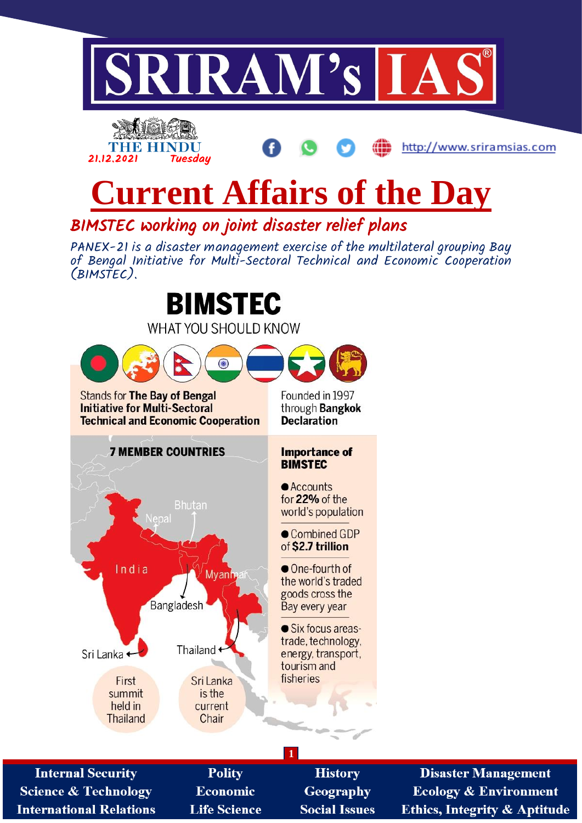



# **Current Affairs of the Day**

BIMSTEC working on joint disaster relief plans

PANEX-21 is a disaster management exercise of the multilateral grouping Bay of Bengal Initiative for Multi-Sectoral Technical and Economic Cooperation (BIMSTEC).



**Disaster Management Ecology & Environment Ethics, Integrity & Aptitude**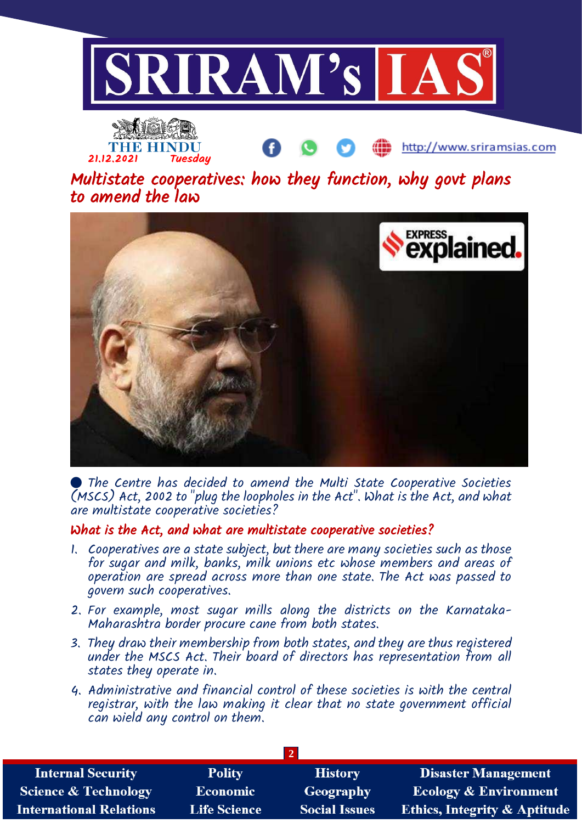



Multistate cooperatives: how they function, why govt plans to amend the law



 The Centre has decided to amend the Multi State Cooperative Societies (MSCS) Act, 2002 to "plug the loopholes in the Act". What is the Act, and what are multistate cooperative societies?

# What is the Act, and what are multistate cooperative societies?

- 1. Cooperatives are a state subject, but there are many societies such as those for sugar and milk, banks, milk unions etc whose members and areas of operation are spread across more than one state. The Act was passed to govern such cooperatives.
- 2. For example, most sugar mills along the districts on the Karnataka-Maharashtra border procure cane from both states.
- 3. They draw their membership from both states, and they are thus registered under the MSCS Act. Their board of directors has representation from all states they operate in.
- 4. Administrative and financial control of these societies is with the central registrar, with the law making it clear that no state government official can wield any control on them.

| <b>Internal Security</b>        | <b>Polity</b>       | <b>History</b>       | <b>Disaster Management</b>              |  |
|---------------------------------|---------------------|----------------------|-----------------------------------------|--|
| <b>Science &amp; Technology</b> | <b>Economic</b>     | Geography            | <b>Ecology &amp; Environment</b>        |  |
| <b>International Relations</b>  | <b>Life Science</b> | <b>Social Issues</b> | <b>Ethics, Integrity &amp; Aptitude</b> |  |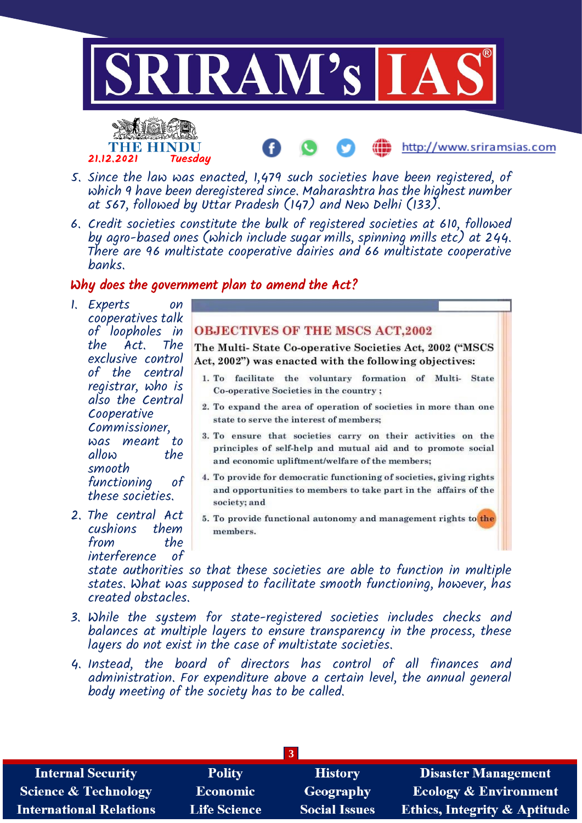



- 5. Since the law was enacted, 1,479 such societies have been registered, of which 9 have been deregistered since. Maharashtra has the highest number at 567, followed by Uttar Pradesh (147) and New Delhi (133).
- 6. Credit societies constitute the bulk of registered societies at 610, followed by agro-based ones (which include sugar mills, spinning mills etc) at 244. There are 96 multistate cooperative dairies and 66 multistate cooperative banks.

# Why does the government plan to amend the Act?

- 1. Experts on cooperatives talk of loopholes in the Act. The exclusive control of the central registrar, who is also the Central Cooperative Commissioner, was meant to allow smooth functioning of these societies.
- 2. The central Act cushions them from interference of

### **OBJECTIVES OF THE MSCS ACT,2002**

The Multi-State Co-operative Societies Act, 2002 ("MSCS Act, 2002") was enacted with the following objectives:

http://www.sriramsias.com

- 1. To facilitate the voluntary formation of Multi-State Co-operative Societies in the country ;
- 2. To expand the area of operation of societies in more than one state to serve the interest of members:
- 3. To ensure that societies carry on their activities on the principles of self-help and mutual aid and to promote social and economic upliftment/welfare of the members;
- 4. To provide for democratic functioning of societies, giving rights and opportunities to members to take part in the affairs of the society; and
- 5. To provide functional autonomy and management rights to the members.

state authorities so that these societies are able to function in multiple states. What was supposed to facilitate smooth functioning, however, has created obstacles.

- 3. While the system for state-registered societies includes checks and balances at multiple layers to ensure transparency in the process, these layers do not exist in the case of multistate societies.
- 4. Instead, the board of directors has control of all finances and administration. For expenditure above a certain level, the annual general body meeting of the society has to be called.

| <b>Internal Security</b>        | <b>Polity</b>       | <b>History</b>       | <b>Disaster Management</b>              |  |
|---------------------------------|---------------------|----------------------|-----------------------------------------|--|
| <b>Science &amp; Technology</b> | <b>Economic</b>     | Geography            | <b>Ecology &amp; Environment</b>        |  |
| <b>International Relations</b>  | <b>Life Science</b> | <b>Social Issues</b> | <b>Ethics, Integrity &amp; Aptitude</b> |  |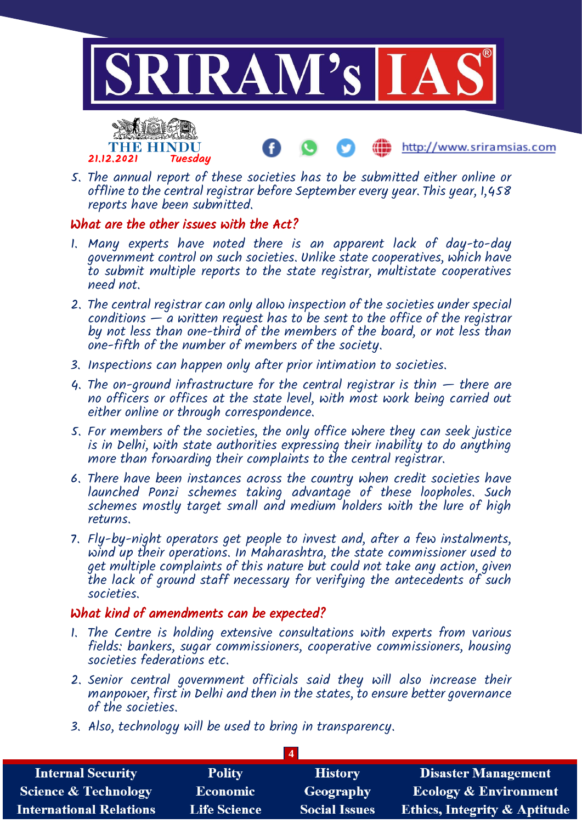

- THE HINDU 21.12.2021 Tuesday
- 5. The annual report of these societies has to be submitted either online or offline to the central registrar before September every year. This year, 1,458 reports have been submitted.

# What are the other issues with the Act?

- 1. Many experts have noted there is an apparent lack of day-to-day government control on such societies. Unlike state cooperatives, which have to submit multiple reports to the state registrar, multistate cooperatives need not.
- 2. The central registrar can only allow inspection of the societies under special conditions  $-\tilde{a}$  written request has to be sent to the office of the registrar by not less than one-third of the members of the board, or not less than one-fifth of the number of members of the society.
- 3. Inspections can happen only after prior intimation to societies.
- 4. The on-ground infrastructure for the central registrar is thin  $-$  there are no officers or offices at the state level, with most work being carried out either online or through correspondence.
- 5. For members of the societies, the only office where they can seek justice is in Delhi, with state authorities expressing their inability to do anything more than forwarding their complaints to the central registrar.
- 6. There have been instances across the country when credit societies have launched Ponzi schemes taking advantage of these loopholes. Such schemes mostly target small and medium holders with the lure of high returns.
- 7. Fly-by-night operators get people to invest and, after a few instalments, wind up their operations. In Maharashtra, the state commissioner used to get multiple complaints of this nature but could not take any action, given the lack of ground staff necessary for verifying the antecedents of such societies.

# What kind of amendments can be expected?

- 1. The Centre is holding extensive consultations with experts from various fields: bankers, sugar commissioners, cooperative commissioners, housing societies federations etc.
- 2. Senior central government officials said they will also increase their manpower, first in Delhi and then in the states, to ensure better governance of the societies.
- 3. Also, technology will be used to bring in transparency.

| <b>Internal Security</b>        | <b>Polity</b>       | <b>History</b>       | <b>Disaster Management</b>              |  |
|---------------------------------|---------------------|----------------------|-----------------------------------------|--|
| <b>Science &amp; Technology</b> | <b>Economic</b>     | Geography            | <b>Ecology &amp; Environment</b>        |  |
| <b>International Relations</b>  | <b>Life Science</b> | <b>Social Issues</b> | <b>Ethics, Integrity &amp; Aptitude</b> |  |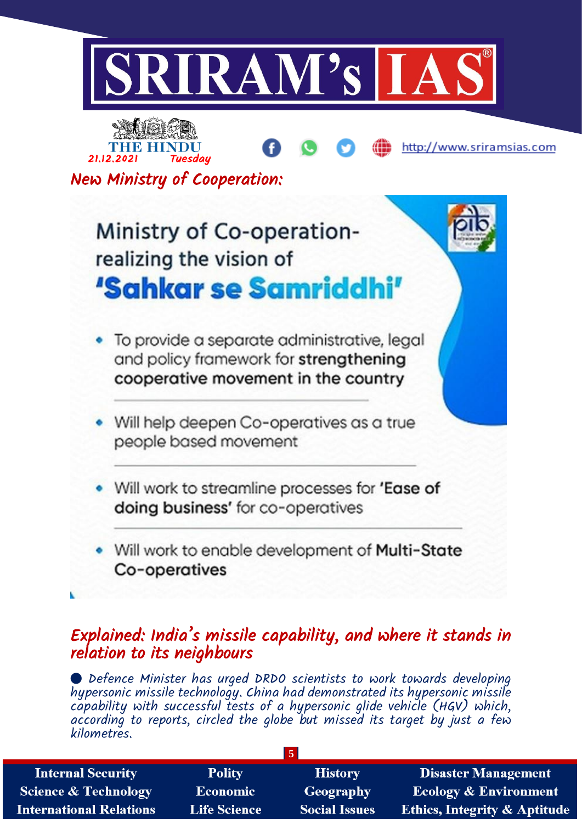



New Ministry of Cooperation:

# Ministry of Co-operationrealizing the vision of 'Sahkar se Samriddhi'

- To provide a separate administrative, legal and policy framework for strengthening cooperative movement in the country
- Will help deepen Co-operatives as a true people based movement
- Will work to streamline processes for 'Ease of doing business' for co-operatives
- Will work to enable development of Multi-State Co-operatives

# Explained: India's missile capability, and where it stands in relation to its neighbours

 Defence Minister has urged DRDO scientists to work towards developing hypersonic missile technology. China had demonstrated its hypersonic missile capability with successful tests of a hypersonic glide vehicle (HGV) which, according to reports, circled the globe but missed its target by just a few kilometres.

| <b>Internal Security</b>        | <b>Polity</b>       | <b>History</b>       | <b>Disaster Management</b>              |
|---------------------------------|---------------------|----------------------|-----------------------------------------|
| <b>Science &amp; Technology</b> | <b>Economic</b>     | Geography            | <b>Ecology &amp; Environment</b>        |
| <b>International Relations</b>  | <b>Life Science</b> | <b>Social Issues</b> | <b>Ethics, Integrity &amp; Aptitude</b> |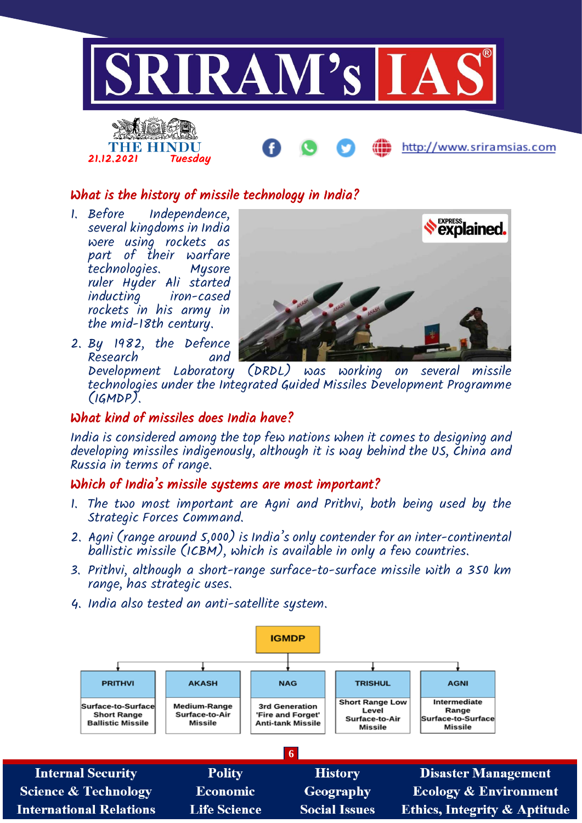

# What is the history of missile technology in India?

1. Before Independence, several kingdoms in India were using rockets as part of their warfare technologies. Mysore ruler Hyder Ali started inducting iron-cased rockets in his army in the mid-18th century.

2. By 1982, the Defence



Research and Development Laboratory (DRDL) was working on several missile technologies under the Integrated Guided Missiles Development Programme (IGMDP).

# What kind of missiles does India have?

India is considered among the top few nations when it comes to designing and developing missiles indigenously, although it is way behind the US, China and Russia in terms of range.

# Which of India's missile systems are most important?

- 1. The two most important are Agni and Prithvi, both being used by the Strategic Forces Command.
- 2. Agni (range around 5,000) is India's only contender for an inter-continental ballistic missile (ICBM), which is available in only a few countries.
- 3. Prithvi, although a short-range surface-to-surface missile with a 350 km range, has strategic uses.
- 4. India also tested an anti-satellite system.

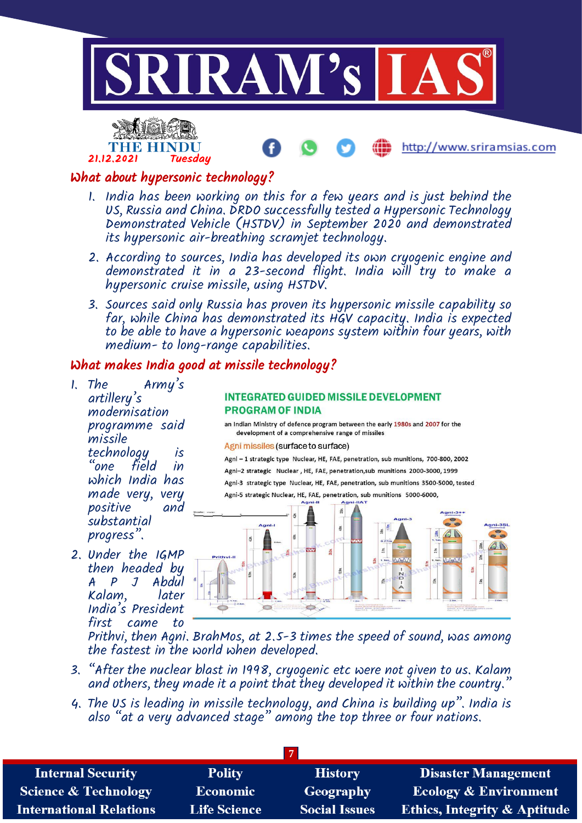



## What about hypersonic technology?

- 1. India has been working on this for a few years and is just behind the US, Russia and China. DRDO successfully tested a Hypersonic Technology Demonstrated Vehicle (HSTDV) in September 2020 and demonstrated its hypersonic air-breathing scramjet technology.
- 2. According to sources, India has developed its own cryogenic engine and demonstrated it in a 23-second flight. India will try to make a hypersonic cruise missile, using HSTDV.
- 3. Sources said only Russia has proven its hypersonic missile capability so far, while China has demonstrated its HGV capacity. India is expected to be able to have a hypersonic weapons system within four years, with medium- to long-range capabilities.

# What makes India good at missile technology?

- 1. The Army's artillery's modernisation programme said missile technology is<br>"one field in "one field in which India has made very, very positive substantial progress".
- 2. Under the IGMP then headed by A P J Abdul Kalam, later India's President first came to

#### **INTEGRATED GUIDED MISSILE DEVELOPMENT PROGRAM OF INDIA**

an Indian Ministry of defence program between the early 1980s and 2007 for the development of a comprehensive range of missiles

Agni missiles (surface to surface)

Agni - 1 strategic type Nuclear, HE, FAE, penetration, sub munitions, 700-800, 2002 Agni-2 strategic Nuclear, HE, FAE, penetration, sub munitions 2000-3000, 1999 Agni-3 strategic type Nuclear, HE, FAE, penetration, sub munitions 3500-5000, tested Agni-5 strategic Nuclear, HE, FAE, penetration, sub munitions 5000-6000,



Prithvi, then Agni. BrahMos, at 2.5-3 times the speed of sound, was among the fastest in the world when developed.

- 3. "After the nuclear blast in 1998, cryogenic etc were not given to us. Kalam and others, they made it a point that they developed it within the country."
- 4. The US is leading in missile technology, and China is building up". India is also "at a very advanced stage" among the top three or four nations.

| <b>Internal Security</b>        | <b>Polity</b>       | <b>History</b>       | <b>Disaster Management</b>              |  |
|---------------------------------|---------------------|----------------------|-----------------------------------------|--|
| <b>Science &amp; Technology</b> | Economic            | <b>Geography</b>     | <b>Ecology &amp; Environment</b>        |  |
| <b>International Relations</b>  | <b>Life Science</b> | <b>Social Issues</b> | <b>Ethics, Integrity &amp; Aptitude</b> |  |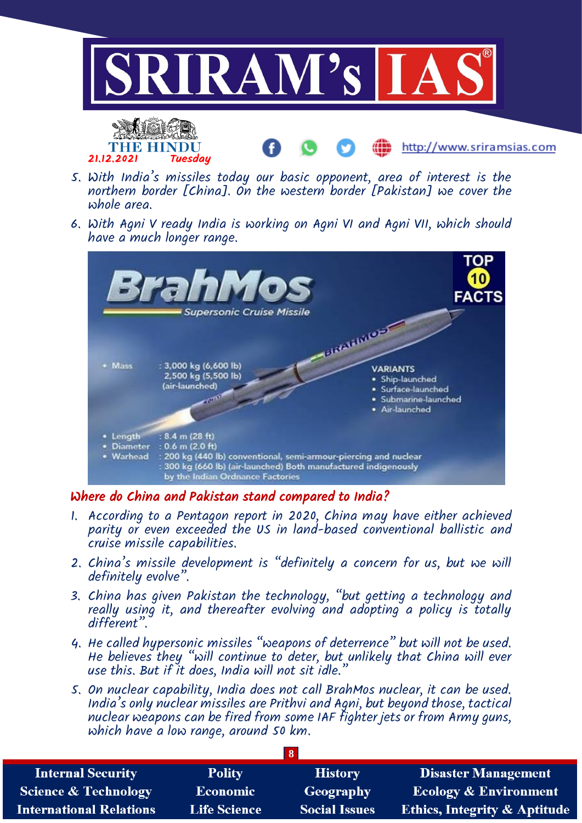

- 5. With India's missiles today our basic opponent, area of interest is the northern border [China]. On the western border [Pakistan] we cover the whole area.
- 6. With Agni V ready India is working on Agni VI and Agni VII, which should have a much longer range.



# Where do China and Pakistan stand compared to India?

- 1. According to a Pentagon report in 2020, China may have either achieved parity or even exceeded the US in land-based conventional ballistic and cruise missile capabilities.
- 2. China's missile development is "definitely a concern for us, but we will definitely evolve".
- 3. China has given Pakistan the technology, "but getting a technology and really using it, and thereafter evolving and adopting a policy is totally different".
- 4. He called hypersonic missiles "weapons of deterrence" but will not be used. He believes they "will continue to deter, but unlikely that China will ever use this. But if it does, India will not sit idle."
- 5. On nuclear capability, India does not call BrahMos nuclear, it can be used. India's only nuclear missiles are Prithvi and Agni, but beyond those, tactical nuclear weapons can be fired from some IAF fighter jets or from Army guns, which have a low range, around 50 km.

| <b>Internal Security</b>        | <b>Polity</b>       | <b>History</b>       | <b>Disaster Management</b>              |  |
|---------------------------------|---------------------|----------------------|-----------------------------------------|--|
| <b>Science &amp; Technology</b> | <b>Economic</b>     | <b>Geography</b>     | <b>Ecology &amp; Environment</b>        |  |
| <b>International Relations</b>  | <b>Life Science</b> | <b>Social Issues</b> | <b>Ethics, Integrity &amp; Aptitude</b> |  |